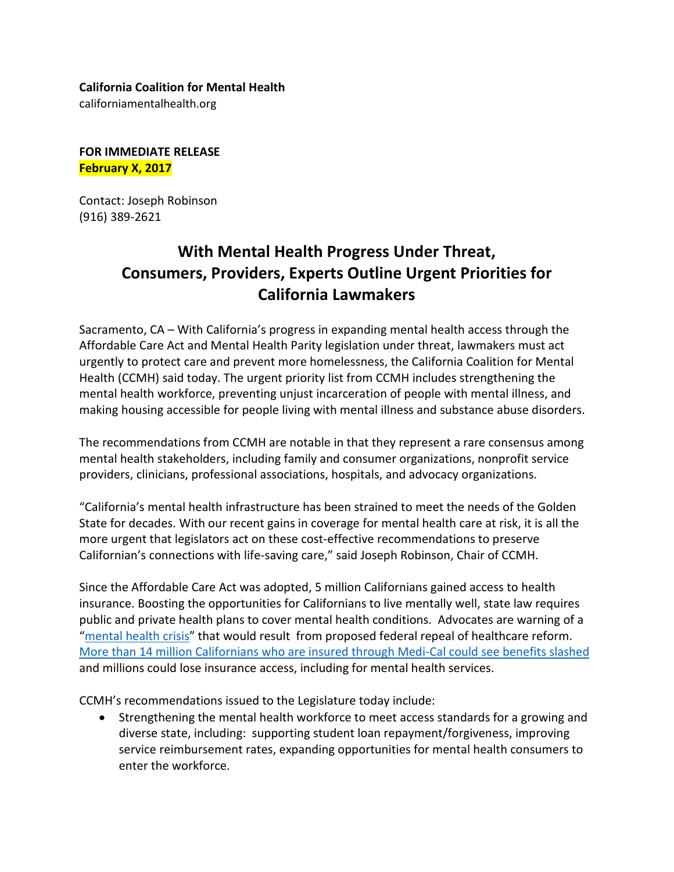## **California Coalition for Mental Health**

californiamentalhealth.org

## **FOR IMMEDIATE RELEASE February X, 2017**

Contact: Joseph Robinson (916) 389-2621

## **With Mental Health Progress Under Threat, Consumers, Providers, Experts Outline Urgent Priorities for California Lawmakers**

Sacramento, CA – With California's progress in expanding mental health access through the Affordable Care Act and Mental Health Parity legislation under threat, lawmakers must act urgently to protect care and prevent more homelessness, the California Coalition for Mental Health (CCMH) said today. The urgent priority list from CCMH includes strengthening the mental health workforce, preventing unjust incarceration of people with mental illness, and making housing accessible for people living with mental illness and substance abuse disorders.

The recommendations from CCMH are notable in that they represent a rare consensus among mental health stakeholders, including family and consumer organizations, nonprofit service providers, clinicians, professional associations, hospitals, and advocacy organizations.

"California's mental health infrastructure has been strained to meet the needs of the Golden State for decades. With our recent gains in coverage for mental health care at risk, it is all the more urgent that legislators act on these cost-effective recommendations to preserve Californian's connections with life-saving care," said Joseph Robinson, Chair of CCMH.

Since the Affordable Care Act was adopted, 5 million Californians gained access to health insurance. Boosting the opportunities for Californians to live mentally well, state law requires public and private health plans to cover mental health conditions. Advocates are warning of a ["mental health crisis"](https://www.thenation.com/article/trumps-obamacare-repeal-could-lead-to-a-mental-health-crisis/) that would result from proposed federal repeal of healthcare reform. [More than 14 million Californians who are insured through Medi-Cal could see benefits slashed](http://www.health-access.org/images/pdfs/Our%20Health%20Care%20at%20Risk%20updated%201.13.17.pdf) and millions could lose insurance access, including for mental health services.

CCMH's recommendations issued to the Legislature today include:

• Strengthening the mental health workforce to meet access standards for a growing and diverse state, including: supporting student loan repayment/forgiveness, improving service reimbursement rates, expanding opportunities for mental health consumers to enter the workforce.